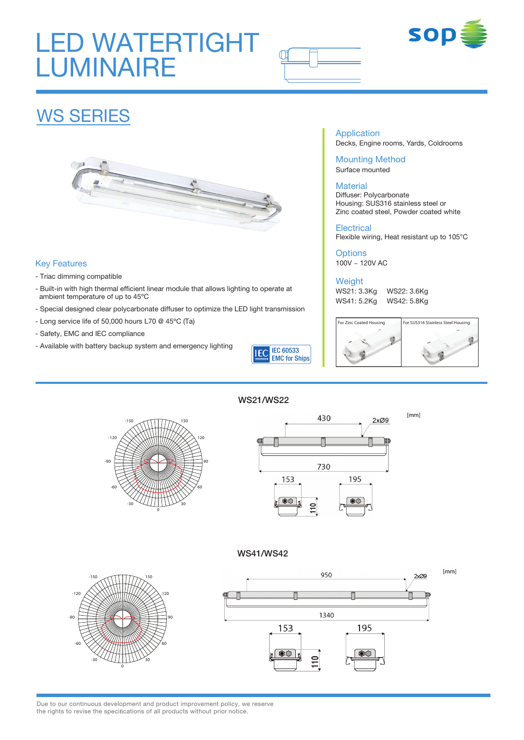# LED WATERTIGHT LUMINAIRE



## WS SERIES



### Key Features

- Triac dimming compatible
- Built-in with high thermal efficient linear module that allows lighting to operate at ambient temperature of up to 45ºC
- Special designed clear polycarbonate diffuser to optimize the LED light transmission
- Long service life of 50,000 hours L70 @ 45ºC (Ta)
- Safety, EMC and IEC compliance
- Available with battery backup system and emergency lighting



#### Application Decks, Engine rooms, Yards, Coldrooms

Mounting Method Surface mounted

#### **Material**

Diffuser: Polycarbonate Housing: SUS316 stainless steel or Zinc coated steel, Powder coated white

#### **Electrical**

Flexible wiring, Heat resistant up to 105°C

**Options** 100V ~ 120V AC

### **Weight**

WS21: 3.3Kg WS22: 3.6Kg WS41: 5.2Kg WS42: 5.8Kg



### WS21/WS22





 $[mm]$ 



### WS41/WS42





Due to our continuous development and product improvement policy, we reserve the rights to revise the specifications of all products without prior notice.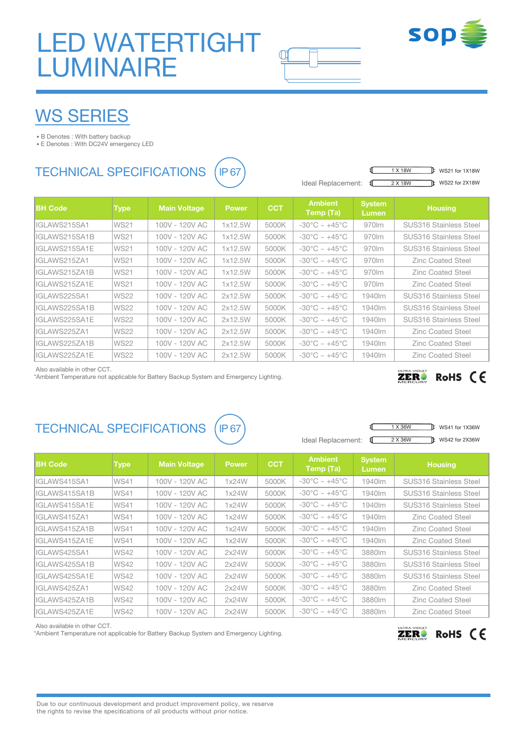# LED WATERTIGHT LUMINAIRE





## WS SERIES

• B Denotes : With battery backup

• E Denotes : With DC24V emergency LED

## TECHNICAL SPECIFICATIONS (IP 67

|                      | 1 X 18W | $\mathbf{F}$ WS21 for 1X18W |
|----------------------|---------|-----------------------------|
| Ideal Replacement: 1 | 2 X 18W | $\mathbb{R}$ WS22 for 2X18W |

| <b>BH Code</b> | Type        | <b>Main Voltage</b> | <b>Power</b> | <b>CCT</b> | <b>Ambient</b><br>Temp (Ta)       | <b>System</b><br>Lumen | <b>Housing</b>                |
|----------------|-------------|---------------------|--------------|------------|-----------------------------------|------------------------|-------------------------------|
| IIGLAWS215SA1  | <b>WS21</b> | 100V - 120V AC      | 1x12.5W      | 5000K      | $-30^{\circ}$ C ~ $+45^{\circ}$ C | 970lm                  | <b>SUS316 Stainless Steel</b> |
| IIGLAWS215SA1B | <b>WS21</b> | 100V - 120V AC      | 1x12.5W      | 5000K      | $-30^{\circ}$ C ~ $+45^{\circ}$ C | 970lm                  | <b>SUS316 Stainless Steel</b> |
| IGLAWS215SA1E  | <b>WS21</b> | 100V - 120V AC      | 1x12.5W      | 5000K      | $-30^{\circ}$ C ~ $+45^{\circ}$ C | 970lm                  | <b>SUS316 Stainless Steel</b> |
| IIGLAWS215ZA1  | <b>WS21</b> | 100V - 120V AC      | 1x12.5W      | 5000K      | $-30^{\circ}$ C ~ $+45^{\circ}$ C | 970lm                  | Zinc Coated Steel             |
| IIGLAWS215ZA1B | <b>WS21</b> | 100V - 120V AC      | 1x12.5W      | 5000K      | $-30^{\circ}$ C ~ $+45^{\circ}$ C | 970lm                  | Zinc Coated Steel             |
| IGLAWS215ZA1E  | <b>WS21</b> | 100V - 120V AC      | 1x12.5W      | 5000K      | $-30^{\circ}$ C ~ $+45^{\circ}$ C | 970lm                  | <b>Zinc Coated Steel</b>      |
| IIGLAWS225SA1  | <b>WS22</b> | 100V - 120V AC      | 2x12.5W      | 5000K      | $-30^{\circ}$ C ~ $+45^{\circ}$ C | 1940lm                 | <b>SUS316 Stainless Steel</b> |
| IIGLAWS225SA1B | <b>WS22</b> | 100V - 120V AC      | 2x12.5W      | 5000K      | $-30^{\circ}$ C ~ $+45^{\circ}$ C | 1940lm                 | <b>SUS316 Stainless Steel</b> |
| IIGLAWS225SA1E | <b>WS22</b> | 100V - 120V AC      | 2x12.5W      | 5000K      | $-30^{\circ}$ C ~ $+45^{\circ}$ C | 1940lm                 | <b>SUS316 Stainless Steel</b> |
| IIGLAWS225ZA1  | <b>WS22</b> | 100V - 120V AC      | 2x12.5W      | 5000K      | $-30^{\circ}$ C ~ $+45^{\circ}$ C | 1940lm                 | <b>Zinc Coated Steel</b>      |
| IGLAWS225ZA1B  | <b>WS22</b> | 100V - 120V AC      | 2x12.5W      | 5000K      | $-30^{\circ}$ C ~ $+45^{\circ}$ C | 1940lm                 | <b>Zinc Coated Steel</b>      |
| IIGLAWS225ZA1E | lWS22       | 100V - 120V AC      | 2x12.5W      | 5000K      | $-30^{\circ}$ C ~ $+45^{\circ}$ C | 1940lm                 | Zinc Coated Steel             |

Also available in other CCT.

\*Ambient Temperature not applicable for Battery Backup System and Emergency Lighting.

## TECHNICAL SPECIFICATIONS (IP 67)



Ideal Replacement: €

F WS41 for 1X36W 2 X 36W **E** WS42 for 2X36W

 $\overline{\text{ZER}}$  RoHS  $\textsf{CER}$ 

| <b>BH Code</b> | <b>Type</b> | <b>Main Voltage</b> | <b>Power</b> | <b>CCT</b> | <b>Ambient</b><br>Temp (Ta)       | <b>System</b><br><b>Lumen</b> | <b>Housing</b>                |
|----------------|-------------|---------------------|--------------|------------|-----------------------------------|-------------------------------|-------------------------------|
| IIGLAWS415SA1  | WS41        | 100V - 120V AC      | 1x24W        | 5000K      | $-30^{\circ}$ C ~ $+45^{\circ}$ C | 1940lm                        | <b>SUS316 Stainless Steel</b> |
| IIGLAWS415SA1B | <b>WS41</b> | 100V - 120V AC      | 1x24W        | 5000K      | $-30^{\circ}$ C ~ $+45^{\circ}$ C | 1940lm                        | <b>SUS316 Stainless Steel</b> |
| IIGLAWS415SA1E | WS41        | 100V - 120V AC      | 1x24W        | 5000K      | $-30^{\circ}$ C ~ $+45^{\circ}$ C | 1940lm                        | <b>SUS316 Stainless Steel</b> |
| IIGLAWS415ZA1  | <b>WS41</b> | 100V - 120V AC      | 1x24W        | 5000K      | $-30^{\circ}$ C ~ $+45^{\circ}$ C | 1940lm                        | <b>Zinc Coated Steel</b>      |
| IIGLAWS415ZA1B | WS41        | 100V - 120V AC      | 1x24W        | 5000K      | $-30^{\circ}$ C ~ $+45^{\circ}$ C | 1940lm                        | <b>Zinc Coated Steel</b>      |
| IIGLAWS415ZA1E | WS41        | 100V - 120V AC      | 1x24W        | 5000K      | $-30^{\circ}$ C ~ $+45^{\circ}$ C | 1940lm                        | <b>Zinc Coated Steel</b>      |
| IIGLAWS425SA1  | <b>WS42</b> | 100V - 120V AC      | 2x24W        | 5000K      | $-30^{\circ}$ C ~ $+45^{\circ}$ C | 3880lm                        | <b>SUS316 Stainless Steel</b> |
| IGLAWS425SA1B  | <b>WS42</b> | 100V - 120V AC      | 2x24W        | 5000K      | $-30^{\circ}$ C ~ $+45^{\circ}$ C | 3880lm                        | <b>SUS316 Stainless Steel</b> |
| IGLAWS425SA1E  | WS42        | 100V - 120V AC      | 2x24W        | 5000K      | $-30^{\circ}$ C ~ $+45^{\circ}$ C | 3880lm                        | <b>SUS316 Stainless Steel</b> |
| IIGLAWS425ZA1  | <b>WS42</b> | 100V - 120V AC      | 2x24W        | 5000K      | $-30^{\circ}$ C ~ $+45^{\circ}$ C | 3880lm                        | <b>Zinc Coated Steel</b>      |
| IIGLAWS425ZA1B | <b>WS42</b> | 100V - 120V AC      | 2x24W        | 5000K      | $-30^{\circ}$ C ~ $+45^{\circ}$ C | 3880lm                        | <b>Zinc Coated Steel</b>      |
| IIGLAWS425ZA1E | <b>WS42</b> | 100V - 120V AC      | 2x24W        | 5000K      | -30°C ~ +45°C $-$                 | 3880lm                        | <b>Zinc Coated Steel</b>      |

Also available in other CCT.

\*Ambient Temperature not applicable for Battery Backup System and Emergency Lighting.